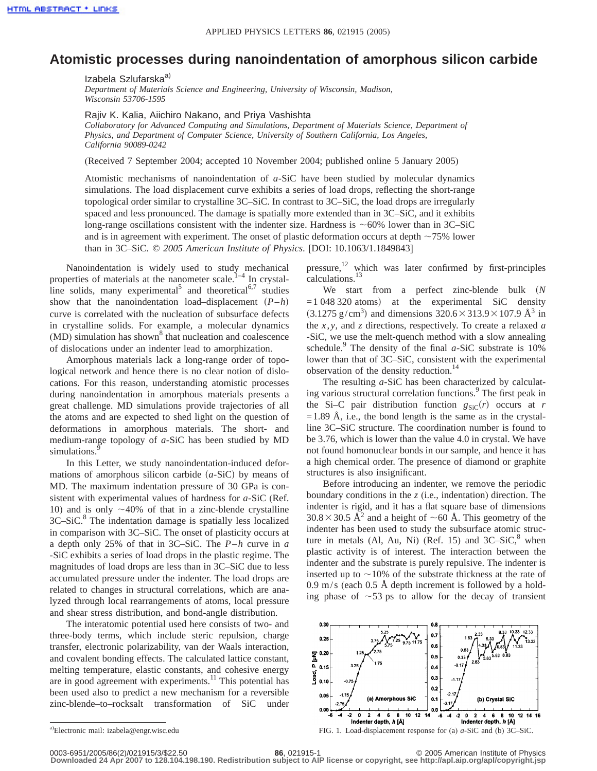## **Atomistic processes during nanoindentation of amorphous silicon carbide**

Izabela Szlufarska<sup>a)</sup>

*Department of Materials Science and Engineering, University of Wisconsin, Madison, Wisconsin 53706-1595*

Rajiv K. Kalia, Aiichiro Nakano, and Priya Vashishta

*Collaboratory for Advanced Computing and Simulations, Department of Materials Science, Department of Physics, and Department of Computer Science, University of Southern California, Los Angeles, California 90089-0242*

(Received 7 September 2004; accepted 10 November 2004; published online 5 January 2005)

Atomistic mechanisms of nanoindentation of *a*-SiC have been studied by molecular dynamics simulations. The load displacement curve exhibits a series of load drops, reflecting the short-range topological order similar to crystalline 3C–SiC. In contrast to 3C–SiC, the load drops are irregularly spaced and less pronounced. The damage is spatially more extended than in 3C–SiC, and it exhibits long-range oscillations consistent with the indenter size. Hardness is  $\sim 60\%$  lower than in 3C–SiC and is in agreement with experiment. The onset of plastic deformation occurs at depth  $\sim$ 75% lower than in 3C–SiC. © *2005 American Institute of Physics*. [DOI: 10.1063/1.1849843]

Nanoindentation is widely used to study mechanical properties of materials at the nanometer scale.<sup>1–4</sup> In crystalline solids, many experimental<sup>5</sup> and theoretical<sup>6,7</sup> studies show that the nanoindentation load–displacement  $(P-h)$ curve is correlated with the nucleation of subsurface defects in crystalline solids. For example, a molecular dynamics  $(MD)$  simulation has shown<sup>8</sup> that nucleation and coalescence of dislocations under an indenter lead to amorphization.

Amorphous materials lack a long-range order of topological network and hence there is no clear notion of dislocations. For this reason, understanding atomistic processes during nanoindentation in amorphous materials presents a great challenge. MD simulations provide trajectories of all the atoms and are expected to shed light on the question of deformations in amorphous materials. The short- and medium-range topology of *a*-SiC has been studied by MD simulations.

In this Letter, we study nanoindentation-induced deformations of amorphous silicon carbide  $(a-SiC)$  by means of MD. The maximum indentation pressure of 30 GPa is consistent with experimental values of hardness for *a*-SiC (Ref. 10) and is only  $\sim$ 40% of that in a zinc-blende crystalline  $3C-SiC$ .<sup>8</sup> The indentation damage is spatially less localized in comparison with 3C–SiC. The onset of plasticity occurs at a depth only 25% of that in 3C–SiC. The *P*–*h* curve in *a* -SiC exhibits a series of load drops in the plastic regime. The magnitudes of load drops are less than in 3C–SiC due to less accumulated pressure under the indenter. The load drops are related to changes in structural correlations, which are analyzed through local rearrangements of atoms, local pressure and shear stress distribution, and bond-angle distribution.

The interatomic potential used here consists of two- and three-body terms, which include steric repulsion, charge transfer, electronic polarizability, van der Waals interaction, and covalent bonding effects. The calculated lattice constant, melting temperature, elastic constants, and cohesive energy are in good agreement with experiments.<sup>11</sup> This potential has been used also to predict a new mechanism for a reversible zinc-blende–to–rocksalt transformation of SiC under

pressure,<sup>12</sup> which was later confirmed by first-principles calculations.<sup>1</sup>

We start from a perfect zinc-blende bulk (N  $=1048320$  atoms) at the experimental SiC density  $(3.1275 \text{ g/cm}^3)$  and dimensions  $320.6 \times 313.9 \times 107.9 \text{ Å}^3$  in the *x*, *y*, and *z* directions, respectively. To create a relaxed *a* -SiC, we use the melt-quench method with a slow annealing schedule.<sup>9</sup> The density of the final  $a$ -SiC substrate is 10% lower than that of 3C–SiC, consistent with the experimental observation of the density reduction.<sup>14</sup>

The resulting *a*-SiC has been characterized by calculating various structural correlation functions.<sup>9</sup> The first peak in the Si–C pair distribution function  $g_{SiC}(r)$  occurs at *r*  $=1.89$  Å, i.e., the bond length is the same as in the crystalline 3C–SiC structure. The coordination number is found to be 3.76, which is lower than the value 4.0 in crystal. We have not found homonuclear bonds in our sample, and hence it has a high chemical order. The presence of diamond or graphite structures is also insignificant.

Before introducing an indenter, we remove the periodic boundary conditions in the *z* (i.e., indentation) direction. The indenter is rigid, and it has a flat square base of dimensions  $30.8 \times 30.5$  Å<sup>2</sup> and a height of  $\sim$  60 Å. This geometry of the indenter has been used to study the subsurface atomic structure in metals (Al, Au, Ni) (Ref. 15) and  $3C-SiC$ ,<sup>8</sup> when plastic activity is of interest. The interaction between the indenter and the substrate is purely repulsive. The indenter is inserted up to  $\sim$ 10% of the substrate thickness at the rate of 0.9 m/s (each  $0.5 \text{ Å}$  depth increment is followed by a holding phase of  $\sim$ 53 ps to allow for the decay of transient



FIG. 1. Load-displacement response for (a) *a*-SiC and (b) 3C–SiC.

**Downloaded 24 Apr 2007 to 128.104.198.190. Redistribution subject to AIP license or copyright, see http://apl.aip.org/apl/copyright.jsp**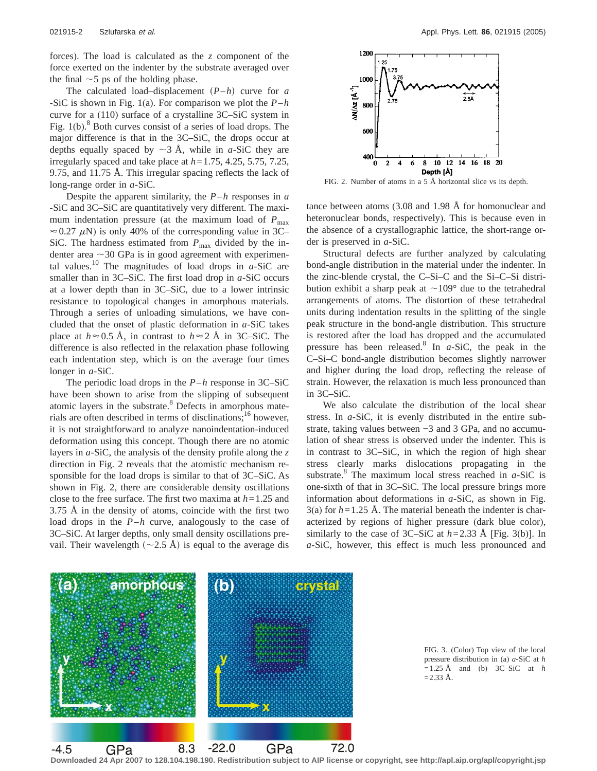forces). The load is calculated as the *z* component of the force exerted on the indenter by the substrate averaged over the final  $\sim$  5 ps of the holding phase.

The calculated load–displacement  $(P-h)$  curve for *a* -SiC is shown in Fig. 1(a). For comparison we plot the *P*–*h* curve for a (110) surface of a crystalline 3C–SiC system in Fig. 1(b).<sup>8</sup> Both curves consist of a series of load drops. The major difference is that in the 3C–SiC, the drops occur at depths equally spaced by  $\sim$ 3 Å, while in *a*-SiC they are irregularly spaced and take place at *h*=1.75, 4.25, 5.75, 7.25, 9.75, and 11.75 Å. This irregular spacing reflects the lack of long-range order in *a*-SiC.

Despite the apparent similarity, the *P*–*h* responses in *a* -SiC and 3C–SiC are quantitatively very different. The maximum indentation pressure (at the maximum load of  $P_{\text{max}}$ )  $\approx$  0.27  $\mu$ N) is only 40% of the corresponding value in 3C– SiC. The hardness estimated from  $P_{\text{max}}$  divided by the indenter area  $\sim$ 30 GPa is in good agreement with experimental values.<sup>10</sup> The magnitudes of load drops in  $a$ -SiC are smaller than in 3C–SiC. The first load drop in *a*-SiC occurs at a lower depth than in 3C–SiC, due to a lower intrinsic resistance to topological changes in amorphous materials. Through a series of unloading simulations, we have concluded that the onset of plastic deformation in *a*-SiC takes place at  $h \approx 0.5$  Å, in contrast to  $h \approx 2$  Å in 3C–SiC. The difference is also reflected in the relaxation phase following each indentation step, which is on the average four times longer in *a*-SiC.

The periodic load drops in the *P*–*h* response in 3C–SiC have been shown to arise from the slipping of subsequent atomic layers in the substrate.<sup>8</sup> Defects in amorphous materials are often described in terms of disclinations;<sup>16</sup> however, it is not straightforward to analyze nanoindentation-induced deformation using this concept. Though there are no atomic layers in *a*-SiC, the analysis of the density profile along the *z* direction in Fig. 2 reveals that the atomistic mechanism responsible for the load drops is similar to that of 3C–SiC. As shown in Fig. 2, there are considerable density oscillations close to the free surface. The first two maxima at *h*=1.25 and 3.75 Å in the density of atoms, coincide with the first two load drops in the *P*–*h* curve, analogously to the case of 3C–SiC. At larger depths, only small density oscillations prevail. Their wavelength  $(\sim 2.5 \text{ Å})$  is equal to the average dis



FIG. 2. Number of atoms in a  $5 \text{ Å}$  horizontal slice vs its depth.

tance between atoms (3.08 and 1.98 Å for homonuclear and heteronuclear bonds, respectively). This is because even in the absence of a crystallographic lattice, the short-range order is preserved in *a*-SiC.

Structural defects are further analyzed by calculating bond-angle distribution in the material under the indenter. In the zinc-blende crystal, the C–Si–C and the Si–C–Si distribution exhibit a sharp peak at  $\sim$ 109 $^{\circ}$  due to the tetrahedral arrangements of atoms. The distortion of these tetrahedral units during indentation results in the splitting of the single peak structure in the bond-angle distribution. This structure is restored after the load has dropped and the accumulated pressure has been released.<sup>8</sup> In  $a$ -SiC, the peak in the C–Si–C bond-angle distribution becomes slightly narrower and higher during the load drop, reflecting the release of strain. However, the relaxation is much less pronounced than in 3C–SiC.

We also calculate the distribution of the local shear stress. In *a*-SiC, it is evenly distributed in the entire substrate, taking values between −3 and 3 GPa, and no accumulation of shear stress is observed under the indenter. This is in contrast to 3C–SiC, in which the region of high shear stress clearly marks dislocations propagating in the substrate.8 The maximum local stress reached in *a*-SiC is one-sixth of that in 3C–SiC. The local pressure brings more information about deformations in *a*-SiC, as shown in Fig. 3(a) for *h*=1.25 Å. The material beneath the indenter is characterized by regions of higher pressure (dark blue color), similarly to the case of 3C–SiC at  $h=2.33$  Å [Fig. 3(b)]. In *a*-SiC, however, this effect is much less pronounced and



FIG. 3. (Color) Top view of the local pressure distribution in (a) *a*-SiC at *h*  $=1.25$  Å and (b) 3C–SiC at *h*  $=$  2.33 Å.

**Downloaded 24 Apr 2007 to 128.104.198.190. Redistribution subject to AIP license or copyright, see http://apl.aip.org/apl/copyright.jsp**